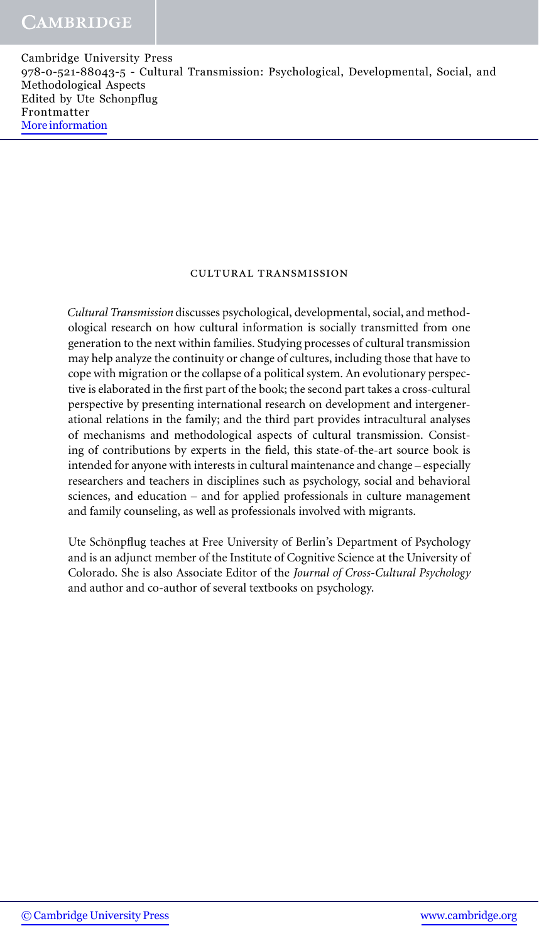### cultural transmission

*Cultural Transmission* discusses psychological, developmental, social, and methodological research on how cultural information is socially transmitted from one generation to the next within families. Studying processes of cultural transmission may help analyze the continuity or change of cultures, including those that have to cope with migration or the collapse of a political system. An evolutionary perspective is elaborated in the first part of the book; the second part takes a cross-cultural perspective by presenting international research on development and intergenerational relations in the family; and the third part provides intracultural analyses of mechanisms and methodological aspects of cultural transmission. Consisting of contributions by experts in the field, this state-of-the-art source book is intended for anyone with interests in cultural maintenance and change – especially researchers and teachers in disciplines such as psychology, social and behavioral sciences, and education – and for applied professionals in culture management and family counseling, as well as professionals involved with migrants.

Ute Schönpflug teaches at Free University of Berlin's Department of Psychology and is an adjunct member of the Institute of Cognitive Science at the University of Colorado. She is also Associate Editor of the *Journal of Cross-Cultural Psychology* and author and co-author of several textbooks on psychology.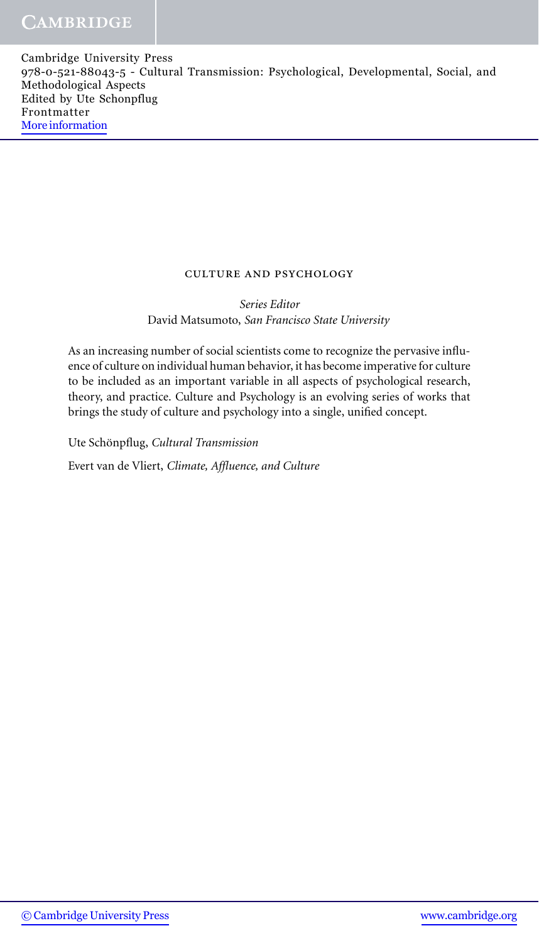### culture and psychology

*Series Editor* David Matsumoto, *San Francisco State University*

As an increasing number of social scientists come to recognize the pervasive influence of culture on individual human behavior, it has become imperative for culture to be included as an important variable in all aspects of psychological research, theory, and practice. Culture and Psychology is an evolving series of works that brings the study of culture and psychology into a single, unified concept.

Ute Schönpflug, Cultural Transmission

Evert van de Vliert, *Climate, Affluence, and Culture*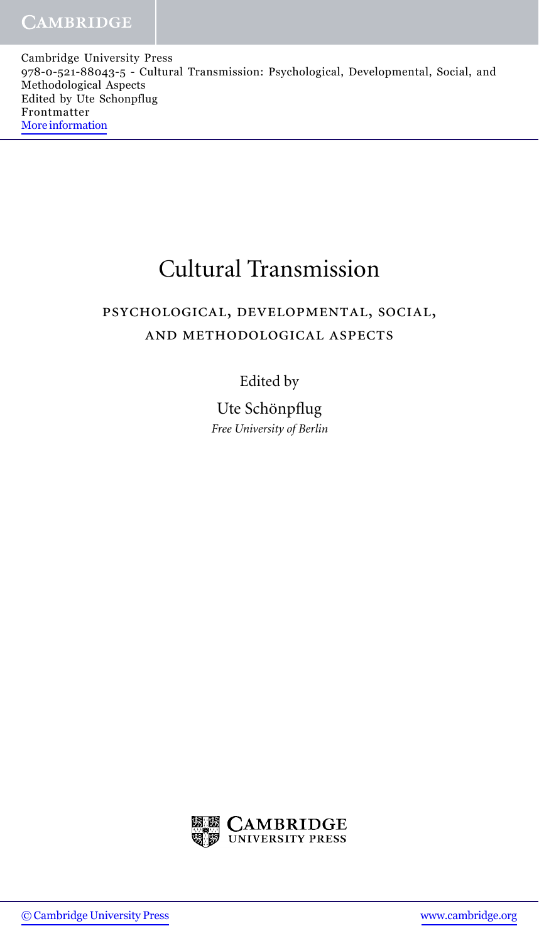# Cultural Transmission

# psychological, developmental, social, and methodological aspects

# Edited by

Ute Schönpflug *Free University of Berlin*

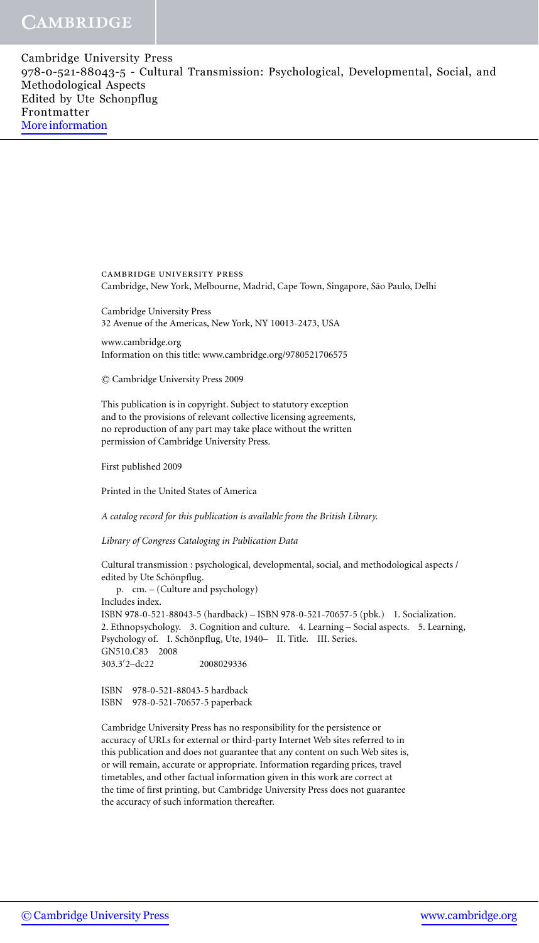| Cambridge University Press                                                           |  |
|--------------------------------------------------------------------------------------|--|
| 978-0-521-88043-5 - Cultural Transmission: Psychological, Developmental, Social, and |  |
| Methodological Aspects                                                               |  |
| Edited by Ute Schonpflug                                                             |  |
| Frontmatter                                                                          |  |
| More information                                                                     |  |
|                                                                                      |  |

cambridge university press Cambridge, New York, Melbourne, Madrid, Cape Town, Singapore, São Paulo, Delhi

Cambridge University Press 32 Avenue of the Americas, New York, NY 10013-2473, USA

www.cambridge.org Information on this title: www.cambridge.org/9780521706575

c Cambridge University Press 2009

This publication is in copyright. Subject to statutory exception and to the provisions of relevant collective licensing agreements, no reproduction of any part may take place without the written permission of Cambridge University Press.

First published 2009

Printed in the United States of America

*A catalog record for this publication is available from the British Library.*

*Library of Congress Cataloging in Publication Data*

Cultural transmission : psychological, developmental, social, and methodological aspects / edited by Ute Schönpflug. p. cm. – (Culture and psychology) Includes index. ISBN 978-0-521-88043-5 (hardback) – ISBN 978-0-521-70657-5 (pbk.) 1. Socialization. 2. Ethnopsychology. 3. Cognition and culture. 4. Learning – Social aspects. 5. Learning, Psychology of. I. Schönpflug, Ute, 1940– II. Title. III. Series. GN510.C83 2008 303.3- 2008029336 ISBN 978-0-521-88043-5 hardback

ISBN 978-0-521-70657-5 paperback

Cambridge University Press has no responsibility for the persistence or accuracy of URLs for external or third-party Internet Web sites referred to in this publication and does not guarantee that any content on such Web sites is, or will remain, accurate or appropriate. Information regarding prices, travel timetables, and other factual information given in this work are correct at the time of first printing, but Cambridge University Press does not guarantee the accuracy of such information thereafter.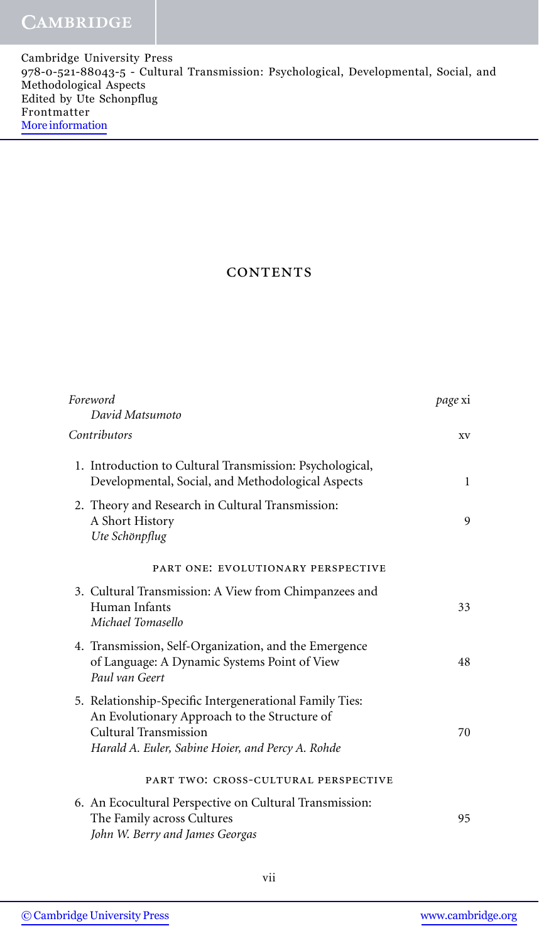| Cambridge University Press                                                           |  |
|--------------------------------------------------------------------------------------|--|
| 978-0-521-88043-5 - Cultural Transmission: Psychological, Developmental, Social, and |  |
| Methodological Aspects                                                               |  |
| Edited by Ute Schonpflug                                                             |  |
| Frontmatter                                                                          |  |
| More information                                                                     |  |
|                                                                                      |  |

## **CONTENTS**

| Foreword<br>David Matsumoto                                                                                                                                                           | page xi      |
|---------------------------------------------------------------------------------------------------------------------------------------------------------------------------------------|--------------|
| Contributors                                                                                                                                                                          | XV           |
| 1. Introduction to Cultural Transmission: Psychological,<br>Developmental, Social, and Methodological Aspects                                                                         | $\mathbf{1}$ |
| 2. Theory and Research in Cultural Transmission:<br>A Short History<br>Ute Schönpflug                                                                                                 | 9            |
| PART ONE: EVOLUTIONARY PERSPECTIVE                                                                                                                                                    |              |
| 3. Cultural Transmission: A View from Chimpanzees and<br>Human Infants<br>Michael Tomasello                                                                                           | 33           |
| 4. Transmission, Self-Organization, and the Emergence<br>of Language: A Dynamic Systems Point of View<br>Paul van Geert                                                               | 48           |
| 5. Relationship-Specific Intergenerational Family Ties:<br>An Evolutionary Approach to the Structure of<br>Cultural Transmission<br>Harald A. Euler, Sabine Hoier, and Percy A. Rohde | 70           |
| PART TWO: CROSS-CULTURAL PERSPECTIVE                                                                                                                                                  |              |
| 6. An Ecocultural Perspective on Cultural Transmission:<br>The Family across Cultures<br>John W. Berry and James Georgas                                                              | 95           |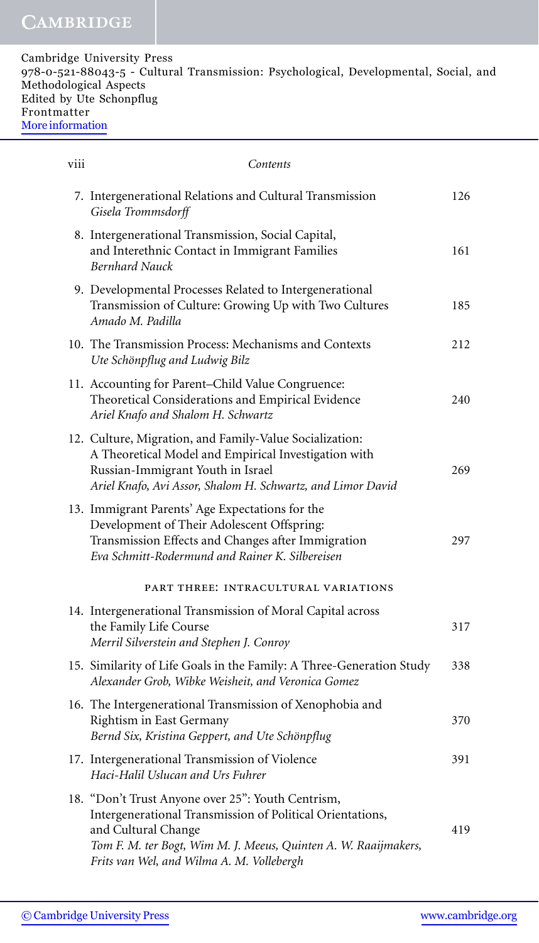| <b>V111</b> | Contents                                                                                                                                                                                                                                              |     |
|-------------|-------------------------------------------------------------------------------------------------------------------------------------------------------------------------------------------------------------------------------------------------------|-----|
|             | 7. Intergenerational Relations and Cultural Transmission<br>Gisela Trommsdorff                                                                                                                                                                        | 126 |
|             | 8. Intergenerational Transmission, Social Capital,<br>and Interethnic Contact in Immigrant Families<br><b>Bernhard Nauck</b>                                                                                                                          | 161 |
|             | 9. Developmental Processes Related to Intergenerational<br>Transmission of Culture: Growing Up with Two Cultures<br>Amado M. Padilla                                                                                                                  | 185 |
|             | 10. The Transmission Process: Mechanisms and Contexts<br>Ute Schönpflug and Ludwig Bilz                                                                                                                                                               | 212 |
|             | 11. Accounting for Parent-Child Value Congruence:<br>Theoretical Considerations and Empirical Evidence<br>Ariel Knafo and Shalom H. Schwartz                                                                                                          | 240 |
|             | 12. Culture, Migration, and Family-Value Socialization:<br>A Theoretical Model and Empirical Investigation with<br>Russian-Immigrant Youth in Israel<br>Ariel Knafo, Avi Assor, Shalom H. Schwartz, and Limor David                                   | 269 |
|             | 13. Immigrant Parents' Age Expectations for the<br>Development of Their Adolescent Offspring:<br>Transmission Effects and Changes after Immigration<br>Eva Schmitt-Rodermund and Rainer K. Silbereisen                                                | 297 |
|             | PART THREE: INTRACULTURAL VARIATIONS                                                                                                                                                                                                                  |     |
|             | 14. Intergenerational Transmission of Moral Capital across<br>the Family Life Course<br>Merril Silverstein and Stephen J. Conroy                                                                                                                      | 317 |
|             | 15. Similarity of Life Goals in the Family: A Three-Generation Study<br>Alexander Grob, Wibke Weisheit, and Veronica Gomez                                                                                                                            | 338 |
|             | 16. The Intergenerational Transmission of Xenophobia and<br>Rightism in East Germany<br>Bernd Six, Kristina Geppert, and Ute Schönpflug                                                                                                               | 370 |
|             | 17. Intergenerational Transmission of Violence<br>Haci-Halil Uslucan and Urs Fuhrer                                                                                                                                                                   | 391 |
|             | 18. "Don't Trust Anyone over 25": Youth Centrism,<br>Intergenerational Transmission of Political Orientations,<br>and Cultural Change<br>Tom F. M. ter Bogt, Wim M. J. Meeus, Quinten A. W. Raaijmakers,<br>Frits van Wel, and Wilma A. M. Vollebergh | 419 |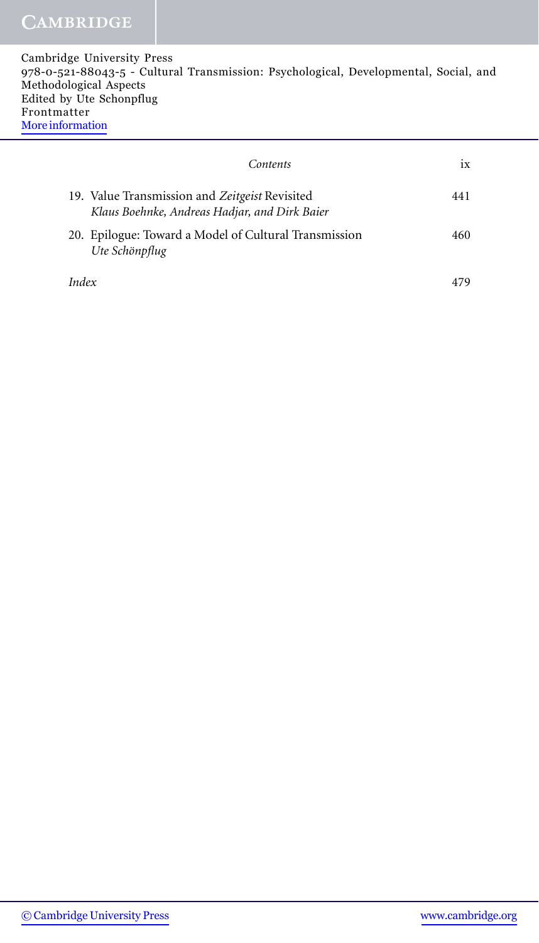| Cambridge University Press                                                           |  |
|--------------------------------------------------------------------------------------|--|
| 978-0-521-88043-5 - Cultural Transmission: Psychological, Developmental, Social, and |  |
| Methodological Aspects                                                               |  |
| Edited by Ute Schonpflug                                                             |  |
| Frontmatter                                                                          |  |
| More information                                                                     |  |
|                                                                                      |  |

| Contents                                                                                        | 1X  |  |
|-------------------------------------------------------------------------------------------------|-----|--|
| 19. Value Transmission and Zeitgeist Revisited<br>Klaus Boehnke, Andreas Hadjar, and Dirk Baier | 441 |  |
| 20. Epilogue: Toward a Model of Cultural Transmission<br>Ute Schönpflug                         | 460 |  |
| Indox                                                                                           |     |  |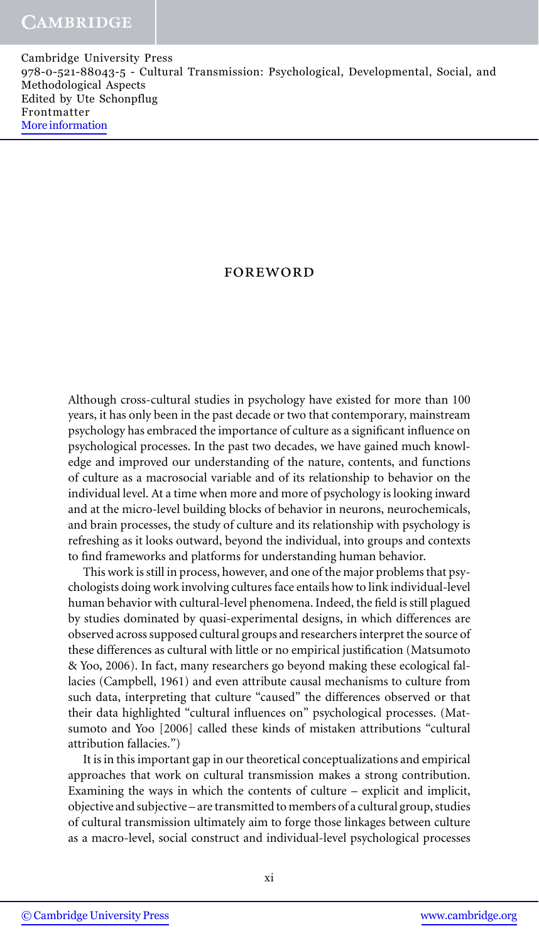### foreword

Although cross-cultural studies in psychology have existed for more than 100 years, it has only been in the past decade or two that contemporary, mainstream psychology has embraced the importance of culture as a significant influence on psychological processes. In the past two decades, we have gained much knowledge and improved our understanding of the nature, contents, and functions of culture as a macrosocial variable and of its relationship to behavior on the individual level. At a time when more and more of psychology is looking inward and at the micro-level building blocks of behavior in neurons, neurochemicals, and brain processes, the study of culture and its relationship with psychology is refreshing as it looks outward, beyond the individual, into groups and contexts to find frameworks and platforms for understanding human behavior.

This work is still in process, however, and one of the major problems that psychologists doing work involving cultures face entails how to link individual-level human behavior with cultural-level phenomena. Indeed, the field is still plagued by studies dominated by quasi-experimental designs, in which differences are observed across supposed cultural groups and researchers interpret the source of these differences as cultural with little or no empirical justification (Matsumoto & Yoo, 2006). In fact, many researchers go beyond making these ecological fallacies (Campbell, 1961) and even attribute causal mechanisms to culture from such data, interpreting that culture "caused" the differences observed or that their data highlighted "cultural influences on" psychological processes. (Matsumoto and Yoo [2006] called these kinds of mistaken attributions "cultural attribution fallacies.")

It is in this important gap in our theoretical conceptualizations and empirical approaches that work on cultural transmission makes a strong contribution. Examining the ways in which the contents of culture – explicit and implicit, objective and subjective – are transmitted to members of a cultural group, studies of cultural transmission ultimately aim to forge those linkages between culture as a macro-level, social construct and individual-level psychological processes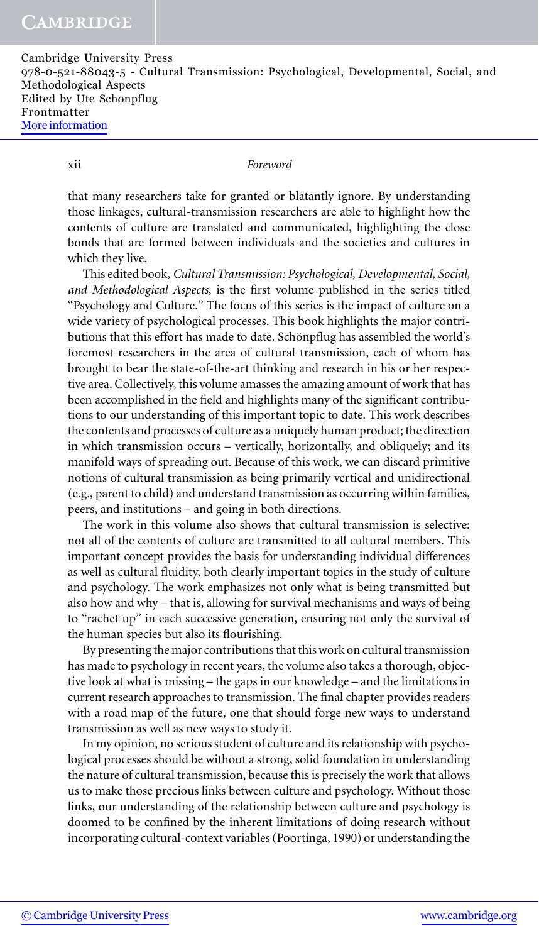#### xii *Foreword*

that many researchers take for granted or blatantly ignore. By understanding those linkages, cultural-transmission researchers are able to highlight how the contents of culture are translated and communicated, highlighting the close bonds that are formed between individuals and the societies and cultures in which they live.

This edited book, *Cultural Transmission: Psychological, Developmental, Social, and Methodological Aspects*, is the first volume published in the series titled "Psychology and Culture." The focus of this series is the impact of culture on a wide variety of psychological processes. This book highlights the major contributions that this effort has made to date. Schönpflug has assembled the world's foremost researchers in the area of cultural transmission, each of whom has brought to bear the state-of-the-art thinking and research in his or her respective area. Collectively, this volume amasses the amazing amount of work that has been accomplished in the field and highlights many of the significant contributions to our understanding of this important topic to date. This work describes the contents and processes of culture as a uniquely human product; the direction in which transmission occurs – vertically, horizontally, and obliquely; and its manifold ways of spreading out. Because of this work, we can discard primitive notions of cultural transmission as being primarily vertical and unidirectional (e.g., parent to child) and understand transmission as occurring within families, peers, and institutions – and going in both directions.

The work in this volume also shows that cultural transmission is selective: not all of the contents of culture are transmitted to all cultural members. This important concept provides the basis for understanding individual differences as well as cultural fluidity, both clearly important topics in the study of culture and psychology. The work emphasizes not only what is being transmitted but also how and why – that is, allowing for survival mechanisms and ways of being to "rachet up" in each successive generation, ensuring not only the survival of the human species but also its flourishing.

By presenting the major contributions that this work on cultural transmission has made to psychology in recent years, the volume also takes a thorough, objective look at what is missing – the gaps in our knowledge – and the limitations in current research approaches to transmission. The final chapter provides readers with a road map of the future, one that should forge new ways to understand transmission as well as new ways to study it.

In my opinion, no serious student of culture and its relationship with psychological processes should be without a strong, solid foundation in understanding the nature of cultural transmission, because this is precisely the work that allows us to make those precious links between culture and psychology. Without those links, our understanding of the relationship between culture and psychology is doomed to be confined by the inherent limitations of doing research without incorporating cultural-context variables (Poortinga, 1990) or understanding the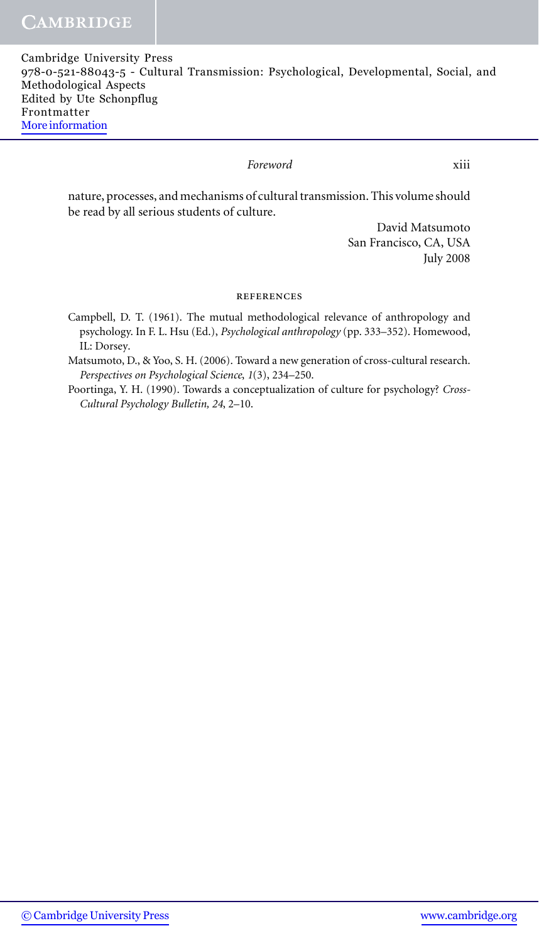| Cambridge University Press                                                           |  |  |
|--------------------------------------------------------------------------------------|--|--|
| 978-0-521-88043-5 - Cultural Transmission: Psychological, Developmental, Social, and |  |  |
| Methodological Aspects                                                               |  |  |
| Edited by Ute Schonpflug                                                             |  |  |
| Frontmatter                                                                          |  |  |
| More information                                                                     |  |  |
|                                                                                      |  |  |

#### *Foreword* xiii

nature, processes, and mechanisms of cultural transmission. This volume should be read by all serious students of culture.

> David Matsumoto San Francisco, CA, USA July 2008

#### references

Campbell, D. T. (1961). The mutual methodological relevance of anthropology and psychology. In F. L. Hsu (Ed.), *Psychological anthropology* (pp. 333–352). Homewood, IL: Dorsey.

Matsumoto, D., & Yoo, S. H. (2006). Toward a new generation of cross-cultural research. *Perspectives on Psychological Science*, *1*(3), 234–250.

Poortinga, Y. H. (1990). Towards a conceptualization of culture for psychology? *Cross-Cultural Psychology Bulletin, 24*, 2–10.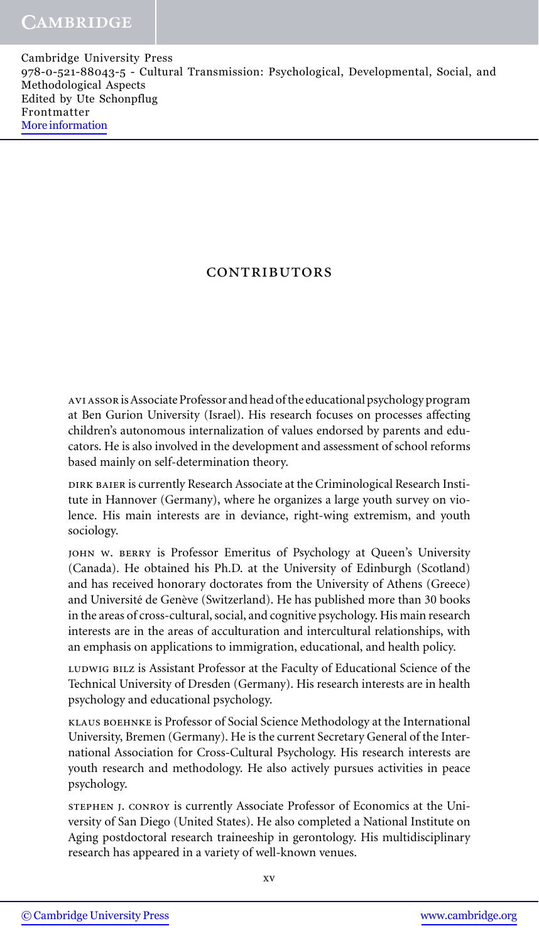### **CONTRIBUTORS**

avi assor is Associate Professor and head of the educational psychology program at Ben Gurion University (Israel). His research focuses on processes affecting children's autonomous internalization of values endorsed by parents and educators. He is also involved in the development and assessment of school reforms based mainly on self-determination theory.

DIRK BAIER is currently Research Associate at the Criminological Research Institute in Hannover (Germany), where he organizes a large youth survey on violence. His main interests are in deviance, right-wing extremism, and youth sociology.

john w. berry is Professor Emeritus of Psychology at Queen's University (Canada). He obtained his Ph.D. at the University of Edinburgh (Scotland) and has received honorary doctorates from the University of Athens (Greece) and Université de Genève (Switzerland). He has published more than 30 books in the areas of cross-cultural, social, and cognitive psychology. His main research interests are in the areas of acculturation and intercultural relationships, with an emphasis on applications to immigration, educational, and health policy.

LUDWIG BILZ is Assistant Professor at the Faculty of Educational Science of the Technical University of Dresden (Germany). His research interests are in health psychology and educational psychology.

klaus boehnke is Professor of Social Science Methodology at the International University, Bremen (Germany). He is the current Secretary General of the International Association for Cross-Cultural Psychology. His research interests are youth research and methodology. He also actively pursues activities in peace psychology.

stephen j. conroy is currently Associate Professor of Economics at the University of San Diego (United States). He also completed a National Institute on Aging postdoctoral research traineeship in gerontology. His multidisciplinary research has appeared in a variety of well-known venues.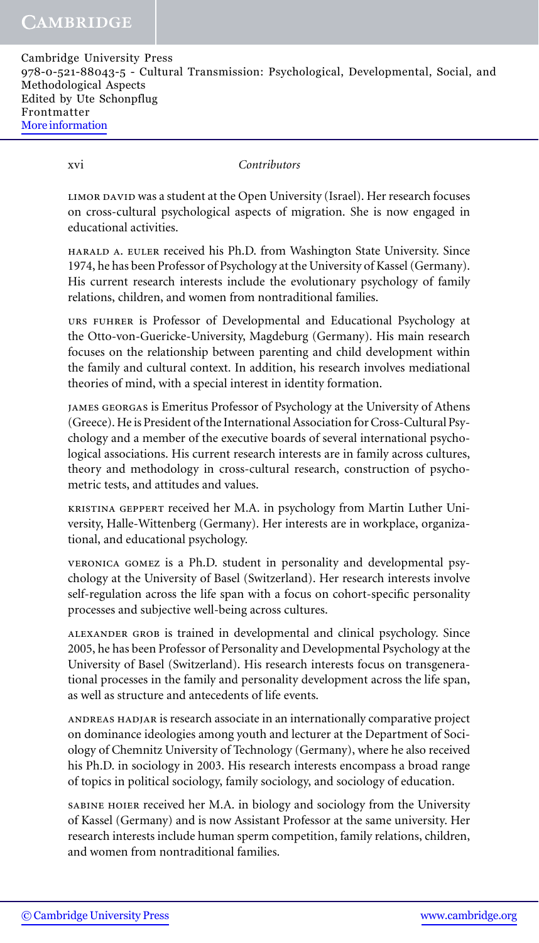xvi *Contributors*

limor david was a student at the Open University (Israel). Her research focuses on cross-cultural psychological aspects of migration. She is now engaged in educational activities.

harald a. euler received his Ph.D. from Washington State University. Since 1974, he has been Professor of Psychology at the University of Kassel (Germany). His current research interests include the evolutionary psychology of family relations, children, and women from nontraditional families.

urs fuhrer is Professor of Developmental and Educational Psychology at the Otto-von-Guericke-University, Magdeburg (Germany). His main research focuses on the relationship between parenting and child development within the family and cultural context. In addition, his research involves mediational theories of mind, with a special interest in identity formation.

james georgas is Emeritus Professor of Psychology at the University of Athens (Greece). He is President of the International Association for Cross-Cultural Psychology and a member of the executive boards of several international psychological associations. His current research interests are in family across cultures, theory and methodology in cross-cultural research, construction of psychometric tests, and attitudes and values.

kristina geppert received her M.A. in psychology from Martin Luther University, Halle-Wittenberg (Germany). Her interests are in workplace, organizational, and educational psychology.

veronica gomez is a Ph.D. student in personality and developmental psychology at the University of Basel (Switzerland). Her research interests involve self-regulation across the life span with a focus on cohort-specific personality processes and subjective well-being across cultures.

alexander grob is trained in developmental and clinical psychology. Since 2005, he has been Professor of Personality and Developmental Psychology at the University of Basel (Switzerland). His research interests focus on transgenerational processes in the family and personality development across the life span, as well as structure and antecedents of life events.

andreas hadjar is research associate in an internationally comparative project on dominance ideologies among youth and lecturer at the Department of Sociology of Chemnitz University of Technology (Germany), where he also received his Ph.D. in sociology in 2003. His research interests encompass a broad range of topics in political sociology, family sociology, and sociology of education.

sabine hoier received her M.A. in biology and sociology from the University of Kassel (Germany) and is now Assistant Professor at the same university. Her research interests include human sperm competition, family relations, children, and women from nontraditional families.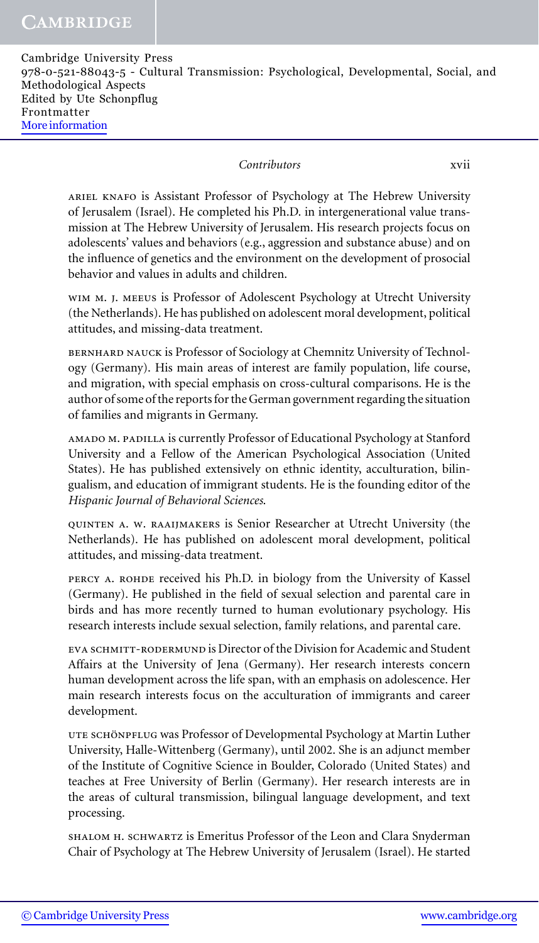*Contributors* xvii

ariel knafo is Assistant Professor of Psychology at The Hebrew University of Jerusalem (Israel). He completed his Ph.D. in intergenerational value transmission at The Hebrew University of Jerusalem. His research projects focus on adolescents' values and behaviors (e.g., aggression and substance abuse) and on the influence of genetics and the environment on the development of prosocial behavior and values in adults and children.

wim m. j. meeus is Professor of Adolescent Psychology at Utrecht University (the Netherlands). He has published on adolescent moral development, political attitudes, and missing-data treatment.

bernhard nauck is Professor of Sociology at Chemnitz University of Technology (Germany). His main areas of interest are family population, life course, and migration, with special emphasis on cross-cultural comparisons. He is the author of some of the reports for the German government regarding the situation of families and migrants in Germany.

amado m. padilla is currently Professor of Educational Psychology at Stanford University and a Fellow of the American Psychological Association (United States). He has published extensively on ethnic identity, acculturation, bilingualism, and education of immigrant students. He is the founding editor of the *Hispanic Journal of Behavioral Sciences*.

quinten a. w. raaijmakers is Senior Researcher at Utrecht University (the Netherlands). He has published on adolescent moral development, political attitudes, and missing-data treatment.

PERCY A. ROHDE received his Ph.D. in biology from the University of Kassel (Germany). He published in the field of sexual selection and parental care in birds and has more recently turned to human evolutionary psychology. His research interests include sexual selection, family relations, and parental care.

eva schmitt-rodermund is Director of the Division for Academic and Student Affairs at the University of Jena (Germany). Her research interests concern human development across the life span, with an emphasis on adolescence. Her main research interests focus on the acculturation of immigrants and career development.

UTE SCHÖNPFLUG was Professor of Developmental Psychology at Martin Luther University, Halle-Wittenberg (Germany), until 2002. She is an adjunct member of the Institute of Cognitive Science in Boulder, Colorado (United States) and teaches at Free University of Berlin (Germany). Her research interests are in the areas of cultural transmission, bilingual language development, and text processing.

shalom h. schwartz is Emeritus Professor of the Leon and Clara Snyderman Chair of Psychology at The Hebrew University of Jerusalem (Israel). He started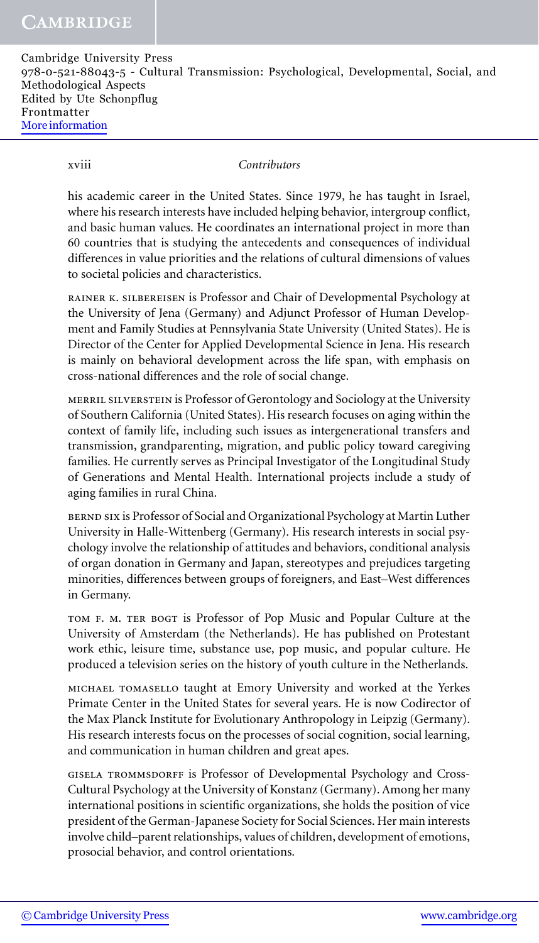xviii *Contributors*

his academic career in the United States. Since 1979, he has taught in Israel, where his research interests have included helping behavior, intergroup conflict, and basic human values. He coordinates an international project in more than 60 countries that is studying the antecedents and consequences of individual differences in value priorities and the relations of cultural dimensions of values to societal policies and characteristics.

rainer k. silbereisen is Professor and Chair of Developmental Psychology at the University of Jena (Germany) and Adjunct Professor of Human Development and Family Studies at Pennsylvania State University (United States). He is Director of the Center for Applied Developmental Science in Jena. His research is mainly on behavioral development across the life span, with emphasis on cross-national differences and the role of social change.

merril silverstein is Professor of Gerontology and Sociology at the University of Southern California (United States). His research focuses on aging within the context of family life, including such issues as intergenerational transfers and transmission, grandparenting, migration, and public policy toward caregiving families. He currently serves as Principal Investigator of the Longitudinal Study of Generations and Mental Health. International projects include a study of aging families in rural China.

bernd six is Professor of Social and Organizational Psychology at Martin Luther University in Halle-Wittenberg (Germany). His research interests in social psychology involve the relationship of attitudes and behaviors, conditional analysis of organ donation in Germany and Japan, stereotypes and prejudices targeting minorities, differences between groups of foreigners, and East–West differences in Germany.

tom f. m. ter bogt is Professor of Pop Music and Popular Culture at the University of Amsterdam (the Netherlands). He has published on Protestant work ethic, leisure time, substance use, pop music, and popular culture. He produced a television series on the history of youth culture in the Netherlands.

michael tomasello taught at Emory University and worked at the Yerkes Primate Center in the United States for several years. He is now Codirector of the Max Planck Institute for Evolutionary Anthropology in Leipzig (Germany). His research interests focus on the processes of social cognition, social learning, and communication in human children and great apes.

gisela trommsdorff is Professor of Developmental Psychology and Cross-Cultural Psychology at the University of Konstanz (Germany). Among her many international positions in scientific organizations, she holds the position of vice president of the German-Japanese Society for Social Sciences. Her main interests involve child–parent relationships, values of children, development of emotions, prosocial behavior, and control orientations.